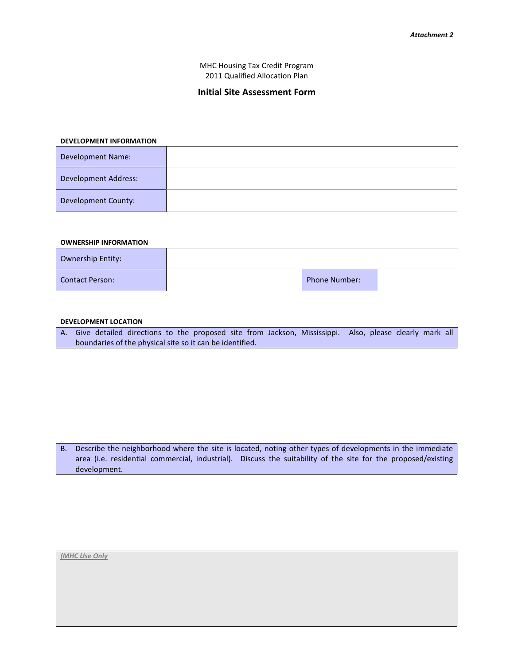MHC Housing Tax Credit Program 2011 Qualified Allocation Plan

# **Initial Site Assessment Form**

#### **DEVELOPMENT INFORMATION**

| <b>Development Name:</b>    |  |
|-----------------------------|--|
| <b>Development Address:</b> |  |
| Development County:         |  |

### **OWNERSHIP INFORMATION**

| Ownership Entity: |                      |  |
|-------------------|----------------------|--|
| Contact Person:   | <b>Phone Number:</b> |  |

#### **DEVELOPMENT LOCATION**

| A.        | Give detailed directions to the proposed site from Jackson, Mississippi. Also, please clearly mark all        |
|-----------|---------------------------------------------------------------------------------------------------------------|
|           | boundaries of the physical site so it can be identified.                                                      |
|           |                                                                                                               |
|           |                                                                                                               |
|           |                                                                                                               |
|           |                                                                                                               |
|           |                                                                                                               |
|           |                                                                                                               |
|           |                                                                                                               |
|           |                                                                                                               |
|           |                                                                                                               |
| <b>B.</b> | Describe the neighborhood where the site is located, noting other types of developments in the immediate      |
|           | area (i.e. residential commercial, industrial). Discuss the suitability of the site for the proposed/existing |
|           | development.                                                                                                  |
|           |                                                                                                               |
|           |                                                                                                               |
|           |                                                                                                               |
|           |                                                                                                               |
|           |                                                                                                               |
|           |                                                                                                               |
|           |                                                                                                               |
|           |                                                                                                               |
|           |                                                                                                               |
|           | (MHC Use Only                                                                                                 |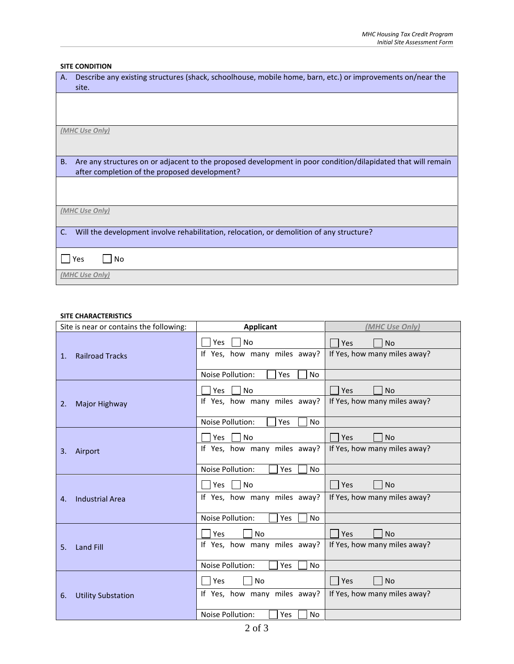## **SITE CONDITION**

| Describe any existing structures (shack, schoolhouse, mobile home, barn, etc.) or improvements on/near the<br>A.<br>site.                                           |  |  |
|---------------------------------------------------------------------------------------------------------------------------------------------------------------------|--|--|
|                                                                                                                                                                     |  |  |
|                                                                                                                                                                     |  |  |
| (MHC Use Only)                                                                                                                                                      |  |  |
|                                                                                                                                                                     |  |  |
| Are any structures on or adjacent to the proposed development in poor condition/dilapidated that will remain<br>B.<br>after completion of the proposed development? |  |  |
|                                                                                                                                                                     |  |  |
| (MHC Use Only)                                                                                                                                                      |  |  |
| Will the development involve rehabilitation, relocation, or demolition of any structure?<br>$C_{\cdot}$                                                             |  |  |
| Yes<br>No                                                                                                                                                           |  |  |
| (MHC Use Only)                                                                                                                                                      |  |  |

## **SITE CHARACTERISTICS**

| Site is near or contains the following:  | <b>Applicant</b>                                 | (MHC Use Only)                                   |
|------------------------------------------|--------------------------------------------------|--------------------------------------------------|
| <b>Railroad Tracks</b><br>1.             | <b>No</b><br>Yes<br>If Yes, how many miles away? | Yes<br><b>No</b><br>If Yes, how many miles away? |
|                                          | Noise Pollution:<br>Yes<br><b>No</b>             |                                                  |
|                                          | <b>No</b><br><b>Yes</b>                          | Yes<br><b>No</b>                                 |
| Major Highway<br>2.                      | If Yes, how many miles away?                     | If Yes, how many miles away?                     |
|                                          | Noise Pollution:<br>Yes<br>No                    |                                                  |
|                                          | <b>No</b><br><b>Yes</b>                          | Yes<br><b>No</b>                                 |
| 3.<br>Airport                            | If Yes, how many miles away?                     | If Yes, how many miles away?                     |
|                                          | Noise Pollution:<br><b>No</b><br>Yes             |                                                  |
|                                          | <b>No</b><br>Yes                                 | Yes<br><b>No</b>                                 |
| <b>Industrial Area</b><br>$\mathbf{4}$ . | If Yes, how many miles away?                     | If Yes, how many miles away?                     |
|                                          | Noise Pollution:<br>Yes<br>No                    |                                                  |
|                                          | <b>No</b><br>Yes                                 | Yes<br><b>No</b>                                 |
| <b>Land Fill</b><br>5.                   | If Yes, how many miles away?                     | If Yes, how many miles away?                     |
|                                          | Noise Pollution:<br>Yes<br><b>No</b>             |                                                  |
|                                          | <b>No</b><br>Yes                                 | Yes<br><b>No</b>                                 |
| <b>Utility Substation</b><br>6.          | If Yes, how many miles away?                     | If Yes, how many miles away?                     |
|                                          | Noise Pollution:<br>Yes<br>No                    |                                                  |